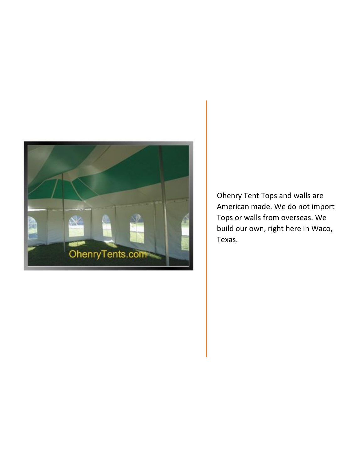

Ohenry Tent Tops and walls are American made. We do not import Tops or walls from overseas. We build our own, right here in Waco, Texas.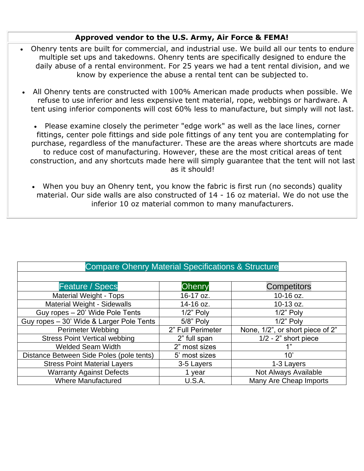## **Approved vendor to the U.S. Army, Air Force & FEMA!**

- Ohenry tents are built for commercial, and industrial use. We build all our tents to endure multiple set ups and takedowns. Ohenry tents are specifically designed to endure the daily abuse of a rental environment. For 25 years we had a tent rental division, and we know by experience the abuse a rental tent can be subjected to.
- All Ohenry tents are constructed with 100% American made products when possible. We refuse to use inferior and less expensive tent material, rope, webbings or hardware. A tent using inferior components will cost 60% less to manufacture, but simply will not last.
	- Please examine closely the perimeter "edge work" as well as the lace lines, corner fittings, center pole fittings and side pole fittings of any tent you are contemplating for purchase, regardless of the manufacturer. These are the areas where shortcuts are made to reduce cost of manufacturing. However, these are the most critical areas of tent construction, and any shortcuts made here will simply guarantee that the tent will not last as it should!
	- When you buy an Ohenry tent, you know the fabric is first run (no seconds) quality material. Our side walls are also constructed of 14 - 16 oz material. We do not use the inferior 10 oz material common to many manufacturers.

| <b>Compare Ohenry Material Specifications &amp; Structure</b> |                   |                                  |
|---------------------------------------------------------------|-------------------|----------------------------------|
|                                                               |                   |                                  |
| <b>Feature / Specs</b>                                        | <b>Ohenry</b>     | <b>Competitors</b>               |
| <b>Material Weight - Tops</b>                                 | 16-17 oz.         | 10-16 oz.                        |
| <b>Material Weight - Sidewalls</b>                            | 14-16 oz.         | 10-13 oz.                        |
| Guy ropes - 20' Wide Pole Tents                               | $1/2$ " Poly      | $1/2$ " Poly                     |
| Guy ropes - 30' Wide & Larger Pole Tents                      | 5/8" Poly         | $1/2$ " Poly                     |
| <b>Perimeter Webbing</b>                                      | 2" Full Perimeter | None, 1/2", or short piece of 2" |
| <b>Stress Point Vertical webbing</b>                          | 2" full span      | $1/2 - 2$ " short piece          |
| <b>Welded Seam Width</b>                                      | 2" most sizes     | 1"                               |
| Distance Between Side Poles (pole tents)                      | 5' most sizes     | 10'                              |
| <b>Stress Point Material Layers</b>                           | 3-5 Layers        | 1-3 Layers                       |
| <b>Warranty Against Defects</b>                               | 1 year            | Not Always Available             |
| <b>Where Manufactured</b>                                     | U.S.A.            | Many Are Cheap Imports           |